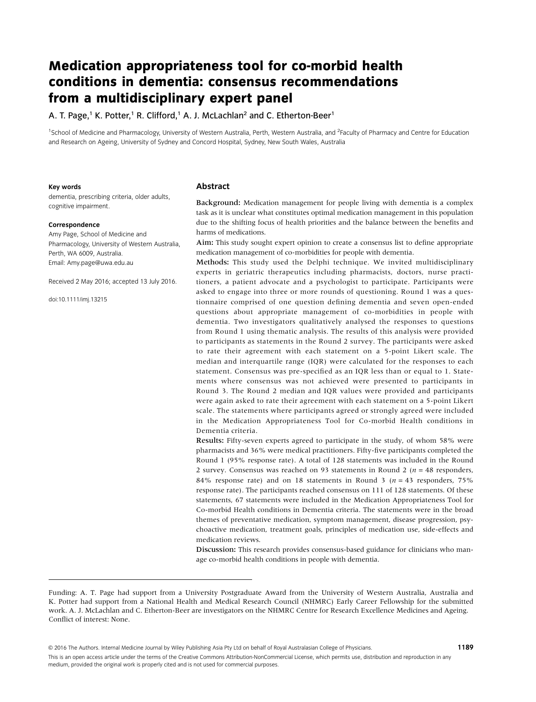# **Medication appropriateness tool for co-morbid health conditions in dementia: consensus recommendations from a multidisciplinary expert panel**

A. T. Page,<sup>1</sup> K. Potter,<sup>1</sup> R. Clifford,<sup>1</sup> A. J. McLachlan<sup>2</sup> and C. Etherton-Beer<sup>1</sup>

<sup>1</sup>School of Medicine and Pharmacology, University of Western Australia, Perth, Western Australia, and <sup>2</sup>Faculty of Pharmacy and Centre for Education and Research on Ageing, University of Sydney and Concord Hospital, Sydney, New South Wales, Australia

#### **Key words**

dementia, prescribing criteria, older adults, cognitive impairment.

#### **Correspondence**

Amy Page, School of Medicine and Pharmacology, University of Western Australia, Perth, WA 6009, Australia. Email: Amy.page@uwa.edu.au

Received 2 May 2016; accepted 13 July 2016.

doi:10.1111/imj.13215

#### **Abstract**

Background: Medication management for people living with dementia is a complex task as it is unclear what constitutes optimal medication management in this population due to the shifting focus of health priorities and the balance between the benefits and harms of medications.

Aim: This study sought expert opinion to create a consensus list to define appropriate medication management of co-morbidities for people with dementia.

Methods: This study used the Delphi technique. We invited multidisciplinary experts in geriatric therapeutics including pharmacists, doctors, nurse practitioners, a patient advocate and a psychologist to participate. Participants were asked to engage into three or more rounds of questioning. Round 1 was a questionnaire comprised of one question defining dementia and seven open-ended questions about appropriate management of co-morbidities in people with dementia. Two investigators qualitatively analysed the responses to questions from Round 1 using thematic analysis. The results of this analysis were provided to participants as statements in the Round 2 survey. The participants were asked to rate their agreement with each statement on a 5-point Likert scale. The median and interquartile range (IQR) were calculated for the responses to each statement. Consensus was pre-specified as an IQR less than or equal to 1. Statements where consensus was not achieved were presented to participants in Round 3. The Round 2 median and IQR values were provided and participants were again asked to rate their agreement with each statement on a 5-point Likert scale. The statements where participants agreed or strongly agreed were included in the Medication Appropriateness Tool for Co-morbid Health conditions in Dementia criteria.

Results: Fifty-seven experts agreed to participate in the study, of whom 58% were pharmacists and 36% were medical practitioners. Fifty-five participants completed the Round 1 (95% response rate). A total of 128 statements was included in the Round 2 survey. Consensus was reached on 93 statements in Round 2 ( $n = 48$  responders, 84% response rate) and on 18 statements in Round 3 ( $n = 43$  responders, 75% response rate). The participants reached consensus on 111 of 128 statements. Of these statements, 67 statements were included in the Medication Appropriateness Tool for Co-morbid Health conditions in Dementia criteria. The statements were in the broad themes of preventative medication, symptom management, disease progression, psychoactive medication, treatment goals, principles of medication use, side-effects and medication reviews.

Discussion: This research provides consensus-based guidance for clinicians who manage co-morbid health conditions in people with dementia.

© 2016 The Authors. Internal Medicine Journal by Wiley Publishing Asia Pty Ltd on behalf of Royal Australasian College of Physicians. **1189**

This is an open access article under the terms of the [Creative Commons Attribution](http://creativecommons.org/licenses/by-nc/4.0/)‐NonCommercial License, which permits use, distribution and reproduction in any medium, provided the original work is properly cited and is not used for commercial purposes.

Funding: A. T. Page had support from a University Postgraduate Award from the University of Western Australia, Australia and K. Potter had support from a National Health and Medical Research Council (NHMRC) Early Career Fellowship for the submitted work. A. J. McLachlan and C. Etherton-Beer are investigators on the NHMRC Centre for Research Excellence Medicines and Ageing. Conflict of interest: None.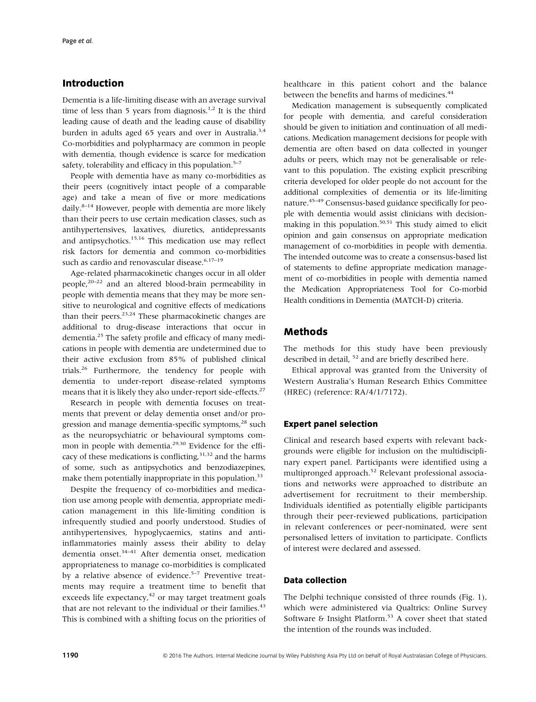# **Introduction**

Dementia is a life-limiting disease with an average survival time of less than 5 years from diagnosis.<sup>1,2</sup> It is the third leading cause of death and the leading cause of disability burden in adults aged 65 years and over in Australia.<sup>3,4</sup> Co-morbidities and polypharmacy are common in people with dementia, though evidence is scarce for medication safety, tolerability and efficacy in this population.<sup>5–7</sup>

People with dementia have as many co-morbidities as their peers (cognitively intact people of a comparable age) and take a mean of five or more medications daily. $8-14$  However, people with dementia are more likely than their peers to use certain medication classes, such as antihypertensives, laxatives, diuretics, antidepressants and antipsychotics.15,16 This medication use may reflect risk factors for dementia and common co-morbidities such as cardio and renovascular disease.<sup>6,17-19</sup>

Age-related pharmacokinetic changes occur in all older people,20–<sup>22</sup> and an altered blood-brain permeability in people with dementia means that they may be more sensitive to neurological and cognitive effects of medications than their peers. $23,24$  These pharmacokinetic changes are additional to drug-disease interactions that occur in dementia.25 The safety profile and efficacy of many medications in people with dementia are undetermined due to their active exclusion from 85% of published clinical trials.26 Furthermore, the tendency for people with dementia to under-report disease-related symptoms means that it is likely they also under-report side-effects.<sup>27</sup>

Research in people with dementia focuses on treatments that prevent or delay dementia onset and/or progression and manage dementia-specific symptoms,<sup>28</sup> such as the neuropsychiatric or behavioural symptoms common in people with dementia.<sup>29,30</sup> Evidence for the efficacy of these medications is conflicting,<sup>31,32</sup> and the harms of some, such as antipsychotics and benzodiazepines, make them potentially inappropriate in this population.<sup>33</sup>

Despite the frequency of co-morbidities and medication use among people with dementia, appropriate medication management in this life-limiting condition is infrequently studied and poorly understood. Studies of antihypertensives, hypoglycaemics, statins and antiinflammatories mainly assess their ability to delay dementia onset.<sup>34–41</sup> After dementia onset, medication appropriateness to manage co-morbidities is complicated by a relative absence of evidence.<sup>5-7</sup> Preventive treatments may require a treatment time to benefit that exceeds life expectancy, $42$  or may target treatment goals that are not relevant to the individual or their families.<sup>43</sup> This is combined with a shifting focus on the priorities of

healthcare in this patient cohort and the balance between the benefits and harms of medicines.<sup>44</sup>

Medication management is subsequently complicated for people with dementia, and careful consideration should be given to initiation and continuation of all medications. Medication management decisions for people with dementia are often based on data collected in younger adults or peers, which may not be generalisable or relevant to this population. The existing explicit prescribing criteria developed for older people do not account for the additional complexities of dementia or its life-limiting nature.<sup>45-49</sup> Consensus-based guidance specifically for people with dementia would assist clinicians with decisionmaking in this population. $50,51$  This study aimed to elicit opinion and gain consensus on appropriate medication management of co-morbidities in people with dementia. The intended outcome was to create a consensus-based list of statements to define appropriate medication management of co-morbidities in people with dementia named the Medication Appropriateness Tool for Co-morbid Health conditions in Dementia (MATCH-D) criteria.

# **Methods**

The methods for this study have been previously described in detail, <sup>52</sup> and are briefly described here.

Ethical approval was granted from the University of Western Australia's Human Research Ethics Committee (HREC) (reference: RA/4/1/7172).

# **Expert panel selection**

Clinical and research based experts with relevant backgrounds were eligible for inclusion on the multidisciplinary expert panel. Participants were identified using a multipronged approach.<sup>52</sup> Relevant professional associations and networks were approached to distribute an advertisement for recruitment to their membership. Individuals identified as potentially eligible participants through their peer-reviewed publications, participation in relevant conferences or peer-nominated, were sent personalised letters of invitation to participate. Conflicts of interest were declared and assessed.

### **Data collection**

The Delphi technique consisted of three rounds (Fig. 1), which were administered via Qualtrics: Online Survey Software & Insight Platform.<sup>53</sup> A cover sheet that stated the intention of the rounds was included.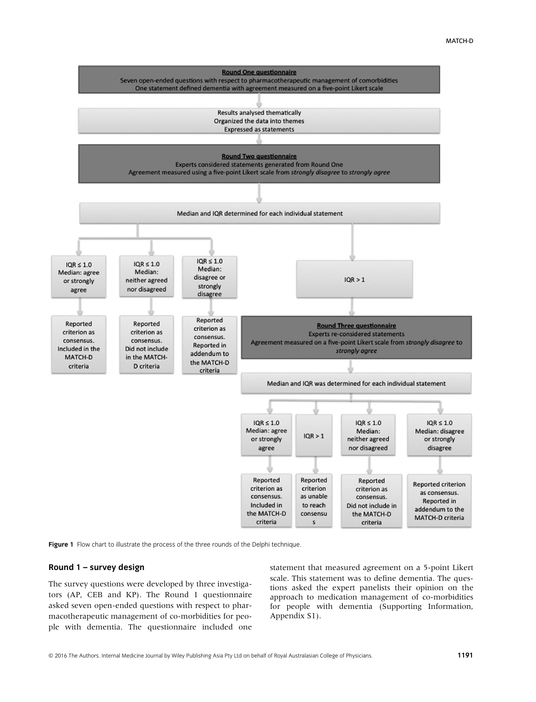

Figure 1 Flow chart to illustrate the process of the three rounds of the Delphi technique.

#### **Round 1 – survey design**

The survey questions were developed by three investigators (AP, CEB and KP). The Round 1 questionnaire asked seven open-ended questions with respect to pharmacotherapeutic management of co-morbidities for people with dementia. The questionnaire included one statement that measured agreement on a 5-point Likert scale. This statement was to define dementia. The questions asked the expert panelists their opinion on the approach to medication management of co-morbidities for people with dementia (Supporting Information, Appendix S1).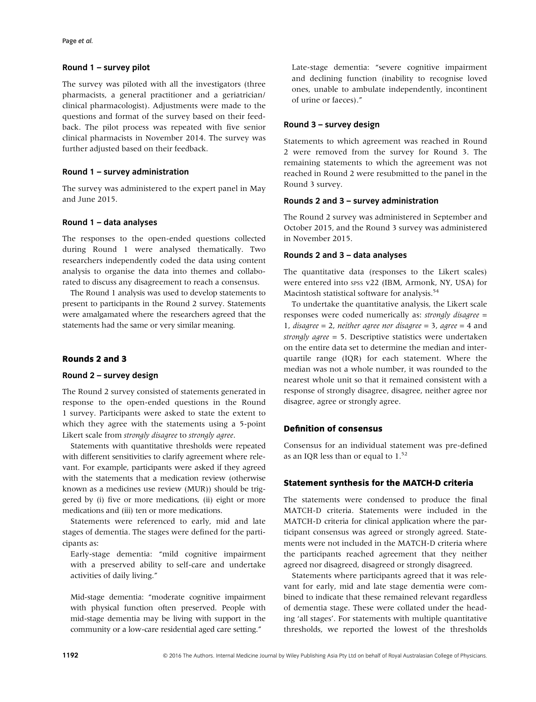#### **Round 1 – survey pilot**

The survey was piloted with all the investigators (three pharmacists, a general practitioner and a geriatrician/ clinical pharmacologist). Adjustments were made to the questions and format of the survey based on their feedback. The pilot process was repeated with five senior clinical pharmacists in November 2014. The survey was further adjusted based on their feedback.

#### **Round 1 – survey administration**

The survey was administered to the expert panel in May and June 2015.

#### **Round 1 – data analyses**

The responses to the open-ended questions collected during Round 1 were analysed thematically. Two researchers independently coded the data using content analysis to organise the data into themes and collaborated to discuss any disagreement to reach a consensus.

The Round 1 analysis was used to develop statements to present to participants in the Round 2 survey. Statements were amalgamated where the researchers agreed that the statements had the same or very similar meaning.

#### **Rounds 2 and 3**

# **Round 2 – survey design**

The Round 2 survey consisted of statements generated in response to the open-ended questions in the Round 1 survey. Participants were asked to state the extent to which they agree with the statements using a 5-point Likert scale from *strongly disagree* to *strongly agree*.

Statements with quantitative thresholds were repeated with different sensitivities to clarify agreement where relevant. For example, participants were asked if they agreed with the statements that a medication review (otherwise known as a medicines use review (MUR)) should be triggered by (i) five or more medications, (ii) eight or more medications and (iii) ten or more medications.

Statements were referenced to early, mid and late stages of dementia. The stages were defined for the participants as:

Early-stage dementia: "mild cognitive impairment with a preserved ability to self-care and undertake activities of daily living."

Mid-stage dementia: "moderate cognitive impairment with physical function often preserved. People with mid-stage dementia may be living with support in the community or a low-care residential aged care setting."

Late-stage dementia: "severe cognitive impairment and declining function (inability to recognise loved ones, unable to ambulate independently, incontinent of urine or faeces)."

#### **Round 3 – survey design**

Statements to which agreement was reached in Round 2 were removed from the survey for Round 3. The remaining statements to which the agreement was not reached in Round 2 were resubmitted to the panel in the Round 3 survey.

### **Rounds 2 and 3 – survey administration**

The Round 2 survey was administered in September and October 2015, and the Round 3 survey was administered in November 2015.

# **Rounds 2 and 3 – data analyses**

The quantitative data (responses to the Likert scales) were entered into spss v22 (IBM, Armonk, NY, USA) for Macintosh statistical software for analysis.<sup>54</sup>

To undertake the quantitative analysis, the Likert scale responses were coded numerically as: *strongly disagree* = 1, *disagree* = 2, *neither agree nor disagree* = 3, *agree* = 4 and *strongly agree* = 5. Descriptive statistics were undertaken on the entire data set to determine the median and interquartile range (IQR) for each statement. Where the median was not a whole number, it was rounded to the nearest whole unit so that it remained consistent with a response of strongly disagree, disagree, neither agree nor disagree, agree or strongly agree.

#### **Definition of consensus**

Consensus for an individual statement was pre-defined as an IQR less than or equal to  $1.^{52}$ 

## **Statement synthesis for the MATCH-D criteria**

The statements were condensed to produce the final MATCH-D criteria. Statements were included in the MATCH-D criteria for clinical application where the participant consensus was agreed or strongly agreed. Statements were not included in the MATCH-D criteria where the participants reached agreement that they neither agreed nor disagreed, disagreed or strongly disagreed.

Statements where participants agreed that it was relevant for early, mid and late stage dementia were combined to indicate that these remained relevant regardless of dementia stage. These were collated under the heading 'all stages'. For statements with multiple quantitative thresholds, we reported the lowest of the thresholds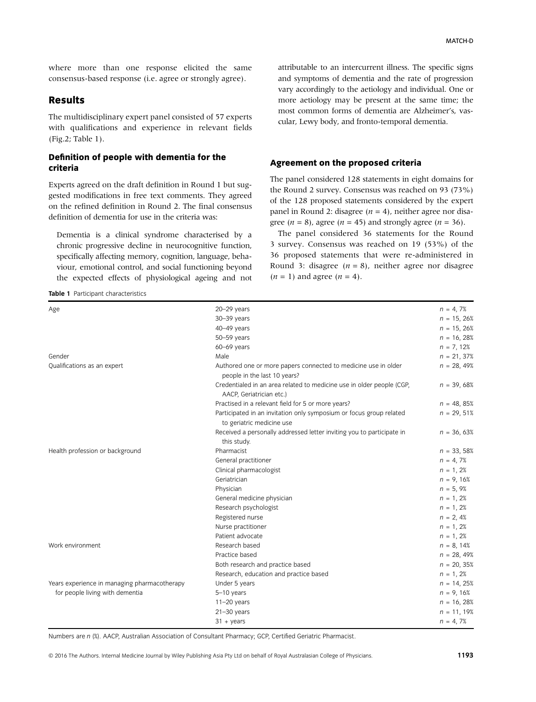where more than one response elicited the same consensus-based response (i.e. agree or strongly agree).

# **Results**

The multidisciplinary expert panel consisted of 57 experts with qualifications and experience in relevant fields (Fig.2; Table 1).

## **Definition of people with dementia for the criteria**

Experts agreed on the draft definition in Round 1 but suggested modifications in free text comments. They agreed on the refined definition in Round 2. The final consensus definition of dementia for use in the criteria was:

Dementia is a clinical syndrome characterised by a chronic progressive decline in neurocognitive function, specifically affecting memory, cognition, language, behaviour, emotional control, and social functioning beyond the expected effects of physiological ageing and not

**Table 1** Participant characteristics

attributable to an intercurrent illness. The specific signs and symptoms of dementia and the rate of progression vary accordingly to the aetiology and individual. One or more aetiology may be present at the same time; the most common forms of dementia are Alzheimer's, vascular, Lewy body, and fronto-temporal dementia.

#### **Agreement on the proposed criteria**

The panel considered 128 statements in eight domains for the Round 2 survey. Consensus was reached on 93 (73%) of the 128 proposed statements considered by the expert panel in Round 2: disagree ( $n = 4$ ), neither agree nor disagree ( $n = 8$ ), agree ( $n = 45$ ) and strongly agree ( $n = 36$ ).

The panel considered 36 statements for the Round 3 survey. Consensus was reached on 19 (53%) of the 36 proposed statements that were re-administered in Round 3: disagree  $(n = 8)$ , neither agree nor disagree  $(n = 1)$  and agree  $(n = 4)$ .

| Age                                          | $20 - 29$ years                                                                                   | $n = 4, 7%$   |
|----------------------------------------------|---------------------------------------------------------------------------------------------------|---------------|
|                                              | 30-39 years                                                                                       | $n = 15, 26%$ |
|                                              | 40-49 years                                                                                       | $n = 15, 26%$ |
|                                              | 50-59 years                                                                                       | $n = 16,28%$  |
|                                              | 60-69 years                                                                                       | $n = 7, 12%$  |
| Gender                                       | Male                                                                                              | $n = 21,37%$  |
| Qualifications as an expert                  | Authored one or more papers connected to medicine use in older<br>people in the last 10 years?    | $n = 28,49%$  |
|                                              | Credentialed in an area related to medicine use in older people (CGP,<br>AACP, Geriatrician etc.) | $n = 39,68%$  |
|                                              | Practised in a relevant field for 5 or more years?                                                | $n = 48, 85%$ |
|                                              | Participated in an invitation only symposium or focus group related<br>to geriatric medicine use  | $n = 29,51%$  |
|                                              | Received a personally addressed letter inviting you to participate in<br>this study.              | $n = 36,63%$  |
| Health profession or background              | Pharmacist                                                                                        | $n = 33,58%$  |
|                                              | General practitioner                                                                              | $n = 4, 7%$   |
|                                              | Clinical pharmacologist                                                                           | $n = 1, 2%$   |
|                                              | Geriatrician                                                                                      | $n = 9,16%$   |
|                                              | Physician                                                                                         | $n = 5, 9%$   |
|                                              | General medicine physician                                                                        | $n = 1, 2%$   |
|                                              | Research psychologist                                                                             | $n = 1, 2%$   |
|                                              | Registered nurse                                                                                  | $n = 2, 4%$   |
|                                              | Nurse practitioner                                                                                | $n = 1, 2%$   |
|                                              | Patient advocate                                                                                  | $n = 1, 2%$   |
| Work environment                             | Research based                                                                                    | $n = 8, 14%$  |
|                                              | Practice based                                                                                    | $n = 28,49%$  |
|                                              | Both research and practice based                                                                  | $n = 20, 35%$ |
|                                              | Research, education and practice based                                                            | $n = 1, 2%$   |
| Years experience in managing pharmacotherapy | Under 5 years                                                                                     | $n = 14, 25%$ |
| for people living with dementia              | $5-10$ years                                                                                      | $n = 9,16%$   |
|                                              | $11-20$ years                                                                                     | $n = 16,28%$  |
|                                              | $21 - 30$ years                                                                                   | $n = 11, 19%$ |
|                                              | $31 + \text{years}$                                                                               | $n = 4, 7%$   |

Numbers are *n* (%). AACP, Australian Association of Consultant Pharmacy; GCP, Certified Geriatric Pharmacist.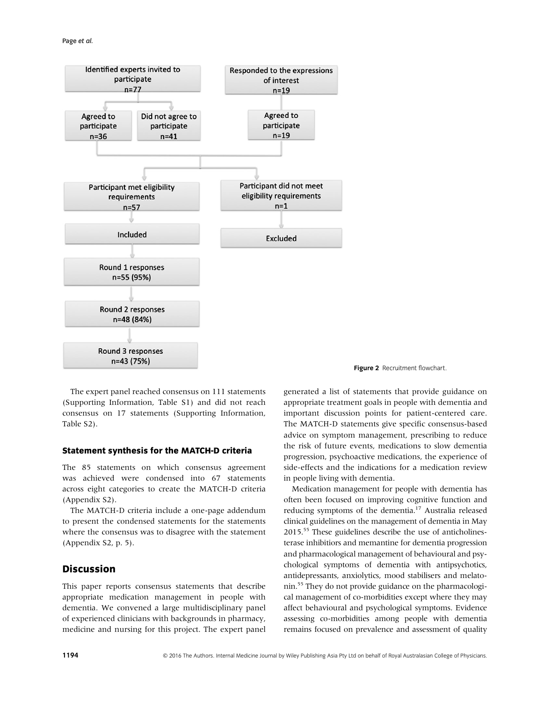

The expert panel reached consensus on 111 statements (Supporting Information, Table S1) and did not reach consensus on 17 statements (Supporting Information, Table S2).

#### **Statement synthesis for the MATCH-D criteria**

The 85 statements on which consensus agreement was achieved were condensed into 67 statements across eight categories to create the MATCH-D criteria (Appendix S2).

The MATCH-D criteria include a one-page addendum to present the condensed statements for the statements where the consensus was to disagree with the statement (Appendix S2, p. 5).

# **Discussion**

This paper reports consensus statements that describe appropriate medication management in people with dementia. We convened a large multidisciplinary panel of experienced clinicians with backgrounds in pharmacy, medicine and nursing for this project. The expert panel



generated a list of statements that provide guidance on appropriate treatment goals in people with dementia and important discussion points for patient-centered care. The MATCH-D statements give specific consensus-based advice on symptom management, prescribing to reduce the risk of future events, medications to slow dementia progression, psychoactive medications, the experience of side-effects and the indications for a medication review in people living with dementia.

Medication management for people with dementia has often been focused on improving cognitive function and reducing symptoms of the dementia.<sup>17</sup> Australia released clinical guidelines on the management of dementia in May 2015.55 These guidelines describe the use of anticholinesterase inhibitiors and memantine for dementia progression and pharmacological management of behavioural and psychological symptoms of dementia with antipsychotics, antidepressants, anxiolytics, mood stabilisers and melatonin.55 They do not provide guidance on the pharmacological management of co-morbidities except where they may affect behavioural and psychological symptoms. Evidence assessing co-morbidities among people with dementia remains focused on prevalence and assessment of quality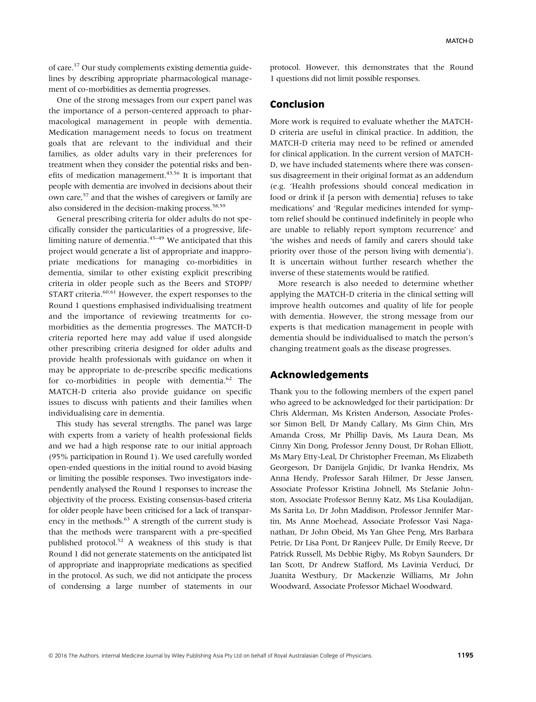of care.17 Our study complements existing dementia guidelines by describing appropriate pharmacological management of co-morbidities as dementia progresses.

One of the strong messages from our expert panel was the importance of a person-centered approach to pharmacological management in people with dementia. Medication management needs to focus on treatment goals that are relevant to the individual and their families, as older adults vary in their preferences for treatment when they consider the potential risks and benefits of medication management. $43,56$  It is important that people with dementia are involved in decisions about their own care,<sup>57</sup> and that the wishes of caregivers or family are also considered in the decision-making process. $58,59$ 

General prescribing criteria for older adults do not specifically consider the particularities of a progressive, lifelimiting nature of dementia. $45-49$  We anticipated that this project would generate a list of appropriate and inappropriate medications for managing co-morbidities in dementia, similar to other existing explicit prescribing criteria in older people such as the Beers and STOPP/ START criteria.<sup>60,61</sup> However, the expert responses to the Round 1 questions emphasised individualising treatment and the importance of reviewing treatments for comorbidities as the dementia progresses. The MATCH-D criteria reported here may add value if used alongside other prescribing criteria designed for older adults and provide health professionals with guidance on when it may be appropriate to de-prescribe specific medications for co-morbidities in people with dementia.<sup>62</sup> The MATCH-D criteria also provide guidance on specific issues to discuss with patients and their families when individualising care in dementia.

This study has several strengths. The panel was large with experts from a variety of health professional fields and we had a high response rate to our initial approach (95% participation in Round 1). We used carefully worded open-ended questions in the initial round to avoid biasing or limiting the possible responses. Two investigators independently analysed the Round 1 responses to increase the objectivity of the process. Existing consensus-based criteria for older people have been criticised for a lack of transparency in the methods.<sup>63</sup> A strength of the current study is that the methods were transparent with a pre-specified published protocol.52 A weakness of this study is that Round 1 did not generate statements on the anticipated list of appropriate and inappropriate medications as specified in the protocol. As such, we did not anticipate the process of condensing a large number of statements in our protocol. However, this demonstrates that the Round 1 questions did not limit possible responses.

## **Conclusion**

More work is required to evaluate whether the MATCH-D criteria are useful in clinical practice. In addition, the MATCH-D criteria may need to be refined or amended for clinical application. In the current version of MATCH-D, we have included statements where there was consensus disagreement in their original format as an addendum (e.g. 'Health professions should conceal medication in food or drink if [a person with dementia] refuses to take medications' and 'Regular medicines intended for symptom relief should be continued indefinitely in people who are unable to reliably report symptom recurrence' and 'the wishes and needs of family and carers should take priority over those of the person living with dementia'). It is uncertain without further research whether the inverse of these statements would be ratified.

More research is also needed to determine whether applying the MATCH-D criteria in the clinical setting will improve health outcomes and quality of life for people with dementia. However, the strong message from our experts is that medication management in people with dementia should be individualised to match the person's changing treatment goals as the disease progresses.

# **Acknowledgements**

Thank you to the following members of the expert panel who agreed to be acknowledged for their participation: Dr Chris Alderman, Ms Kristen Anderson, Associate Professor Simon Bell, Dr Mandy Callary, Ms Ginn Chin, Mrs Amanda Cross, Mr Phillip Davis, Ms Laura Dean, Ms Cinny Xin Dong, Professor Jenny Doust, Dr Rohan Elliott, Ms Mary Etty-Leal, Dr Christopher Freeman, Ms Elizabeth Georgeson, Dr Danijela Gnjidic, Dr Ivanka Hendrix, Ms Anna Hendy, Professor Sarah Hilmer, Dr Jesse Jansen, Associate Professor Kristina Johnell, Ms Stefanie Johnston, Associate Professor Benny Katz, Ms Lisa Kouladijan, Ms Sarita Lo, Dr John Maddison, Professor Jennifer Martin, Ms Anne Moehead, Associate Professor Vasi Naganathan, Dr John Obeid, Ms Yan Ghee Peng, Mrs Barbara Petrie, Dr Lisa Pont, Dr Ranjeev Pulle, Dr Emily Reeve, Dr Patrick Russell, Ms Debbie Rigby, Ms Robyn Saunders, Dr Ian Scott, Dr Andrew Stafford, Ms Lavinia Verduci, Dr Juanita Westbury, Dr Mackenzie Williams, Mr John Woodward, Associate Professor Michael Woodward.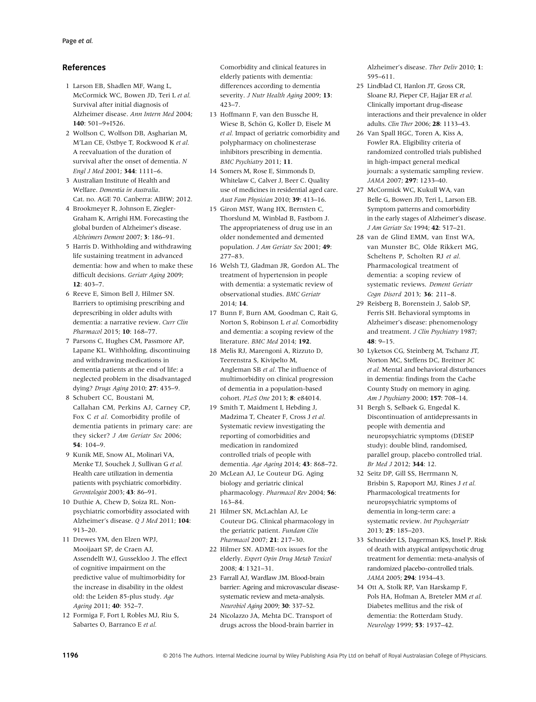#### **References**

- 1 Larson EB, Shadlen MF, Wang L, McCormick WC, Bowen JD, Teri L *et al.* Survival after initial diagnosis of Alzheimer disease. *Ann Intern Med* 2004; **140**: 501–9+I526.
- 2 Wolfson C, Wolfson DB, Asgharian M, M'Lan CE, Østbye T, Rockwood K et al. A reevaluation of the duration of survival after the onset of dementia. *N Engl J Med* 2001; **344**: 1111–6.
- 3 Australian Institute of Health and Welfare. *Dementia in Australia*. Cat. no. AGE 70. Canberra: AIHW; 2012.
- 4 Brookmeyer R, Johnson E, Ziegler-Graham K, Arrighi HM. Forecasting the global burden of Alzheimer's disease. *Alzheimers Dement* 2007; **3**: 186–91.
- 5 Harris D. Withholding and withdrawing life sustaining treatment in advanced dementia: how and when to make these difficult decisions. *Geriatr Aging* 2009; **12**: 403–7.
- 6 Reeve E, Simon Bell J, Hilmer SN. Barriers to optimising prescribing and deprescribing in older adults with dementia: a narrative review. *Curr Clin Pharmacol* 2015; **10**: 168–77.
- 7 Parsons C, Hughes CM, Passmore AP, Lapane KL. Withholding, discontinuing and withdrawing medications in dementia patients at the end of life: a neglected problem in the disadvantaged dying? *Drugs Aging* 2010; **27**: 435–9.
- 8 Schubert CC, Boustani M, Callahan CM, Perkins AJ, Carney CP, Fox C *et al.* Comorbidity profile of dementia patients in primary care: are they sicker? *J Am Geriatr Soc* 2006; **54**: 104–9.
- 9 Kunik ME, Snow AL, Molinari VA, Menke TJ, Souchek J, Sullivan G *et al.* Health care utilization in dementia patients with psychiatric comorbidity. *Gerontologist* 2003; **43**: 86–91.
- 10 Duthie A, Chew D, Soiza RL. Nonpsychiatric comorbidity associated with Alzheimer's disease. *Q J Med* 2011; **104**: 913–20.
- 11 Drewes YM, den Elzen WPJ, Mooijaart SP, de Craen AJ, Assendelft WJ, Gussekloo J. The effect of cognitive impairment on the predictive value of multimorbidity for the increase in disability in the oldest old: the Leiden 85-plus study. *Age Ageing* 2011; **40**: 352–7.
- 12 Formiga F, Fort I, Robles MJ, Riu S, Sabartes O, Barranco E *et al.*

Comorbidity and clinical features in elderly patients with dementia: differences according to dementia severity. *J Nutr Health Aging* 2009; **13**: 423–7.

- 13 Hoffmann F, van den Bussche H, Wiese B, Schön G, Koller D, Eisele M *et al.* Impact of geriatric comorbidity and polypharmacy on cholinesterase inhibitors prescribing in dementia. *BMC Psychiatry* 2011; **11**.
- 14 Somers M, Rose E, Simmonds D, Whitelaw C, Calver J, Beer C. Quality use of medicines in residential aged care. *Aust Fam Physician* 2010; **39**: 413–16.
- 15 Giron MST, Wang HX, Bernsten C, Thorslund M, Winblad B, Fastbom J. The appropriateness of drug use in an older nondemented and demented population. *J Am Geriatr Soc* 2001; **49**: 277–83.
- 16 Welsh TJ, Gladman JR, Gordon AL. The treatment of hypertension in people with dementia: a systematic review of observational studies. *BMC Geriatr* 2014; **14**.
- 17 Bunn F, Burn AM, Goodman C, Rait G, Norton S, Robinson L *et al.* Comorbidity and dementia: a scoping review of the literature. *BMC Med* 2014; **192**.
- 18 Melis RJ, Marengoni A, Rizzuto D, Teerenstra S, Kivipelto M, Angleman SB *et al.* The influence of multimorbidity on clinical progression of dementia in a population-based cohort. *PLoS One* 2013; **8**: e84014.
- 19 Smith T, Maidment I, Hebding J, Madzima T, Cheater F, Cross J *et al.* Systematic review investigating the reporting of comorbidities and medication in randomized controlled trials of people with dementia. *Age Ageing* 2014; **43**: 868–72.
- 20 McLean AJ, Le Couteur DG. Aging biology and geriatric clinical pharmacology. *Pharmacol Rev* 2004; **56**: 163–84.
- 21 Hilmer SN, McLachlan AJ, Le Couteur DG. Clinical pharmacology in the geriatric patient. *Fundam Clin Pharmacol* 2007; **21**: 217–30.
- 22 Hilmer SN. ADME-tox issues for the elderly. *Expert Opin Drug Metab Toxicol* 2008; **4**: 1321–31.
- 23 Farrall AJ, Wardlaw JM. Blood-brain barrier: Ageing and microvascular diseasesystematic review and meta-analysis. *Neurobiol Aging* 2009; **30**: 337–52.
- 24 Nicolazzo JA, Mehta DC. Transport of drugs across the blood-brain barrier in

Alzheimer's disease. *Ther Deliv* 2010; **1**: 595–611.

- 25 Lindblad CI, Hanlon JT, Gross CR, Sloane RJ, Pieper CF, Hajjar ER *et al.* Clinically important drug-disease interactions and their prevalence in older adults. *Clin Ther* 2006; **28**: 1133–43.
- 26 Van Spall HGC, Toren A, Kiss A, Fowler RA. Eligibility criteria of randomized controlled trials published in high-impact general medical journals: a systematic sampling review. *JAMA* 2007; **297**: 1233–40.
- 27 McCormick WC, Kukull WA, van Belle G, Bowen JD, Teri L, Larson EB. Symptom patterns and comorbidity in the early stages of Alzheimer's disease. *J Am Geriatr Soc* 1994; **42**: 517–21.
- 28 van de Glind EMM, van Enst WA, van Munster BC, Olde Rikkert MG, Scheltens P, Scholten RJ *et al.* Pharmacological treatment of dementia: a scoping review of systematic reviews. *Dement Geriatr Cogn Disord* 2013; **36**: 211–8.
- 29 Reisberg B, Borenstein J, Salob SP, Ferris SH. Behavioral symptoms in Alzheimer's disease: phenomenology and treatment. *J Clin Psychiatry* 1987; **48**: 9–15.
- 30 Lyketsos CG, Steinberg M, Tschanz JT, Norton MC, Steffens DC, Breitner JC *et al.* Mental and behavioral disturbances in dementia: findings from the Cache County Study on memory in aging. *Am J Psychiatry* 2000; **157**: 708–14.
- 31 Bergh S, Selbaek G, Engedal K. Discontinuation of antidepressants in people with dementia and neuropsychiatric symptoms (DESEP study): double blind, randomised, parallel group, placebo controlled trial. *Br Med J* 2012; **344**: 12.
- 32 Seitz DP, Gill SS, Herrmann N, Brisbin S, Rapoport MJ, Rines J *et al.* Pharmacological treatments for neuropsychiatric symptoms of dementia in long-term care: a systematic review. *Int Psychogeriatr* 2013; **25**: 185–203.
- 33 Schneider LS, Dagerman KS, Insel P. Risk of death with atypical antipsychotic drug treatment for dementia: meta-analysis of randomized placebo-controlled trials. *JAMA* 2005; **294**: 1934–43.
- 34 Ott A, Stolk RP, Van Harskamp F, Pols HA, Hofman A, Breteler MM *et al.* Diabetes mellitus and the risk of dementia: the Rotterdam Study. *Neurology* 1999; **53**: 1937–42.